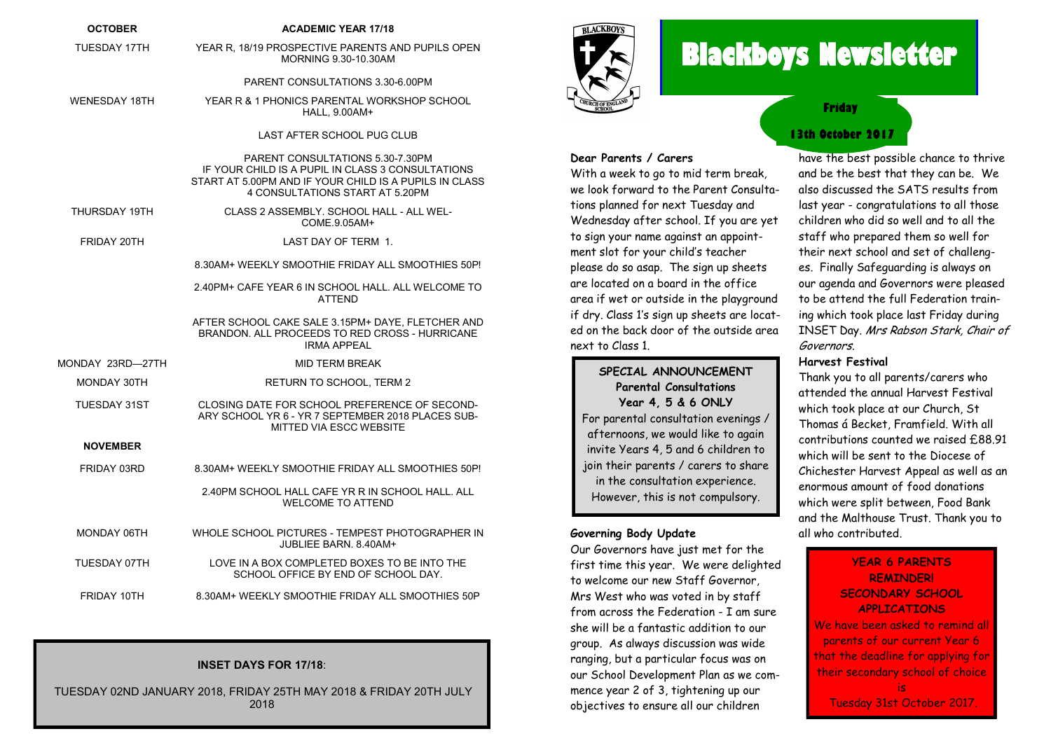| <b>OCTOBER</b>       | <b>ACADEMIC YEAR 17/18</b>                                                                                                                                                         |
|----------------------|------------------------------------------------------------------------------------------------------------------------------------------------------------------------------------|
| TUESDAY 17TH         | YEAR R, 18/19 PROSPECTIVE PARENTS AND PUPILS OPEN<br>MORNING 9.30-10.30AM                                                                                                          |
|                      | PARENT CONSULTATIONS 3.30-6.00PM                                                                                                                                                   |
| <b>WENESDAY 18TH</b> | YEAR R & 1 PHONICS PARENTAL WORKSHOP SCHOOL<br>HALL, 9.00AM+                                                                                                                       |
|                      | LAST AFTER SCHOOL PUG CLUB                                                                                                                                                         |
|                      | PARENT CONSULTATIONS 5.30-7.30PM<br>IF YOUR CHILD IS A PUPIL IN CLASS 3 CONSULTATIONS<br>START AT 5.00PM AND IF YOUR CHILD IS A PUPILS IN CLASS<br>4 CONSULTATIONS START AT 5.20PM |
| THURSDAY 19TH        | CLASS 2 ASSEMBLY, SCHOOL HALL - ALL WEL-<br>COME.9.05AM+                                                                                                                           |
| FRIDAY 20TH          | LAST DAY OF TERM 1.                                                                                                                                                                |
|                      | 8.30AM+ WEEKLY SMOOTHIE FRIDAY ALL SMOOTHIES 50P!                                                                                                                                  |
|                      | 2.40PM+ CAFE YEAR 6 IN SCHOOL HALL. ALL WELCOME TO<br><b>ATTEND</b>                                                                                                                |
|                      | AFTER SCHOOL CAKE SALE 3.15PM+ DAYE, FLETCHER AND<br>BRANDON. ALL PROCEEDS TO RED CROSS - HURRICANE<br><b>IRMA APPEAL</b>                                                          |
| MONDAY 23RD—27TH     | <b>MID TERM BREAK</b>                                                                                                                                                              |
| MONDAY 30TH          | RETURN TO SCHOOL. TERM 2                                                                                                                                                           |
| TUESDAY 31ST         | CLOSING DATE FOR SCHOOL PREFERENCE OF SECOND-<br>ARY SCHOOL YR 6 - YR 7 SEPTEMBER 2018 PLACES SUB-<br>MITTED VIA ESCC WEBSITE                                                      |
| <b>NOVEMBER</b>      |                                                                                                                                                                                    |
| FRIDAY 03RD          | 8.30AM+ WEEKLY SMOOTHIE FRIDAY ALL SMOOTHIES 50P!                                                                                                                                  |
|                      | 2.40PM SCHOOL HALL CAFE YR R IN SCHOOL HALL. ALL<br><b>WELCOME TO ATTEND</b>                                                                                                       |
| MONDAY 06TH          | WHOLE SCHOOL PICTURES - TEMPEST PHOTOGRAPHER IN<br>JUBLIEE BARN, 8,40AM+                                                                                                           |

- TUESDAY 07TH LOVE IN A BOX COMPLETED BOXES TO BE INTO THE SCHOOL OFFICE BY END OF SCHOOL DAY.
- FRIDAY 10TH 8.30AM+ WEEKLY SMOOTHIE FRIDAY ALL SMOOTHIES 50P

#### **INSET DAYS FOR 17/18**:

TUESDAY 02ND JANUARY 2018, FRIDAY 25TH MAY 2018 & FRIDAY 20TH JULY 2018



# **Blackboys Newsletter**

**Friday**

# **13th October 2017**

**Dear Parents / Carers** With a week to go to mid term break, we look forward to the Parent Consultations planned for next Tuesday and Wednesday after school. If you are yet to sign your name against an appointment slot for your child's teacher please do so asap. The sign up sheets are located on a board in the office area if wet or outside in the playground if dry. Class 1's sign up sheets are located on the back door of the outside area next to Class 1.

**SPECIAL ANNOUNCEMENT Parental Consultations Year 4, 5 & 6 ONLY** For parental consultation evenings / afternoons, we would like to again invite Years 4, 5 and 6 children to join their parents / carers to share in the consultation experience. However, this is not compulsory.

#### **Governing Body Update**

Our Governors have just met for the first time this year. We were delighted to welcome our new Staff Governor, Mrs West who was voted in by staff from across the Federation - I am sure she will be a fantastic addition to our group. As always discussion was wide ranging, but a particular focus was on our School Development Plan as we commence year 2 of 3, tightening up our objectives to ensure all our children

have the best possible chance to thrive and be the best that they can be. We also discussed the SATS results from last year - congratulations to all those children who did so well and to all the staff who prepared them so well for their next school and set of challenges. Finally Safeguarding is always on our agenda and Governors were pleased to be attend the full Federation training which took place last Friday during INSET Day. Mrs Rabson Stark, Chair of Governors.

#### **Harvest Festival**

Thank you to all parents/carers who attended the annual Harvest Festival which took place at our Church, St Thomas á Becket, Framfield. With all contributions counted we raised £88.91 which will be sent to the Diocese of Chichester Harvest Appeal as well as an enormous amount of food donations which were split between, Food Bank and the Malthouse Trust. Thank you to all who contributed.

> **YEAR 6 PARENTS REMINDER! SECONDARY SCHOOL APPLICATIONS**

We have been asked to remind all parents of our current Year 6 that the deadline for applying for their secondary school of choice is Tuesday 31st October 2017.